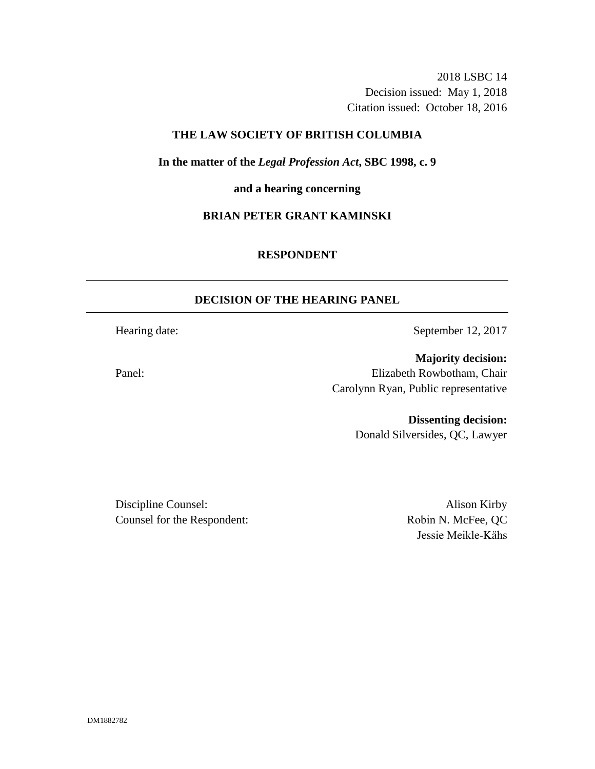2018 LSBC 14 Decision issued: May 1, 2018 Citation issued: October 18, 2016

# **THE LAW SOCIETY OF BRITISH COLUMBIA**

**In the matter of the** *Legal Profession Act***, SBC 1998, c. 9** 

**and a hearing concerning**

# **BRIAN PETER GRANT KAMINSKI**

## **RESPONDENT**

# **DECISION OF THE HEARING PANEL**

Hearing date: September 12, 2017

**Majority decision:**  Panel: Elizabeth Rowbotham, Chair Carolynn Ryan, Public representative

> **Dissenting decision:** Donald Silversides, QC, Lawyer

Discipline Counsel: Counsel for the Respondent:

Alison Kirby Robin N. McFee, QC Jessie Meikle-Kähs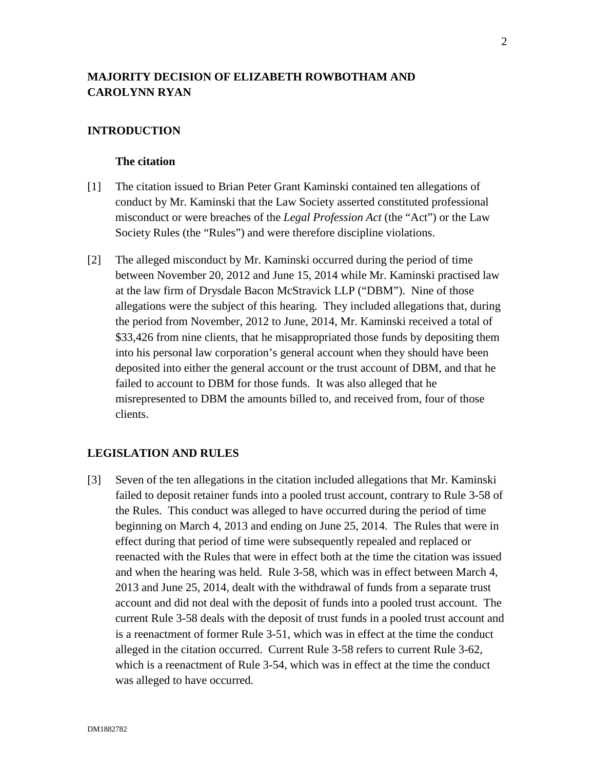# **MAJORITY DECISION OF ELIZABETH ROWBOTHAM AND CAROLYNN RYAN**

# **INTRODUCTION**

#### **The citation**

- [1] The citation issued to Brian Peter Grant Kaminski contained ten allegations of conduct by Mr. Kaminski that the Law Society asserted constituted professional misconduct or were breaches of the *Legal Profession Act* (the "Act") or the Law Society Rules (the "Rules") and were therefore discipline violations.
- [2] The alleged misconduct by Mr. Kaminski occurred during the period of time between November 20, 2012 and June 15, 2014 while Mr. Kaminski practised law at the law firm of Drysdale Bacon McStravick LLP ("DBM"). Nine of those allegations were the subject of this hearing. They included allegations that, during the period from November, 2012 to June, 2014, Mr. Kaminski received a total of \$33,426 from nine clients, that he misappropriated those funds by depositing them into his personal law corporation's general account when they should have been deposited into either the general account or the trust account of DBM, and that he failed to account to DBM for those funds. It was also alleged that he misrepresented to DBM the amounts billed to, and received from, four of those clients.

## **LEGISLATION AND RULES**

[3] Seven of the ten allegations in the citation included allegations that Mr. Kaminski failed to deposit retainer funds into a pooled trust account, contrary to Rule 3-58 of the Rules. This conduct was alleged to have occurred during the period of time beginning on March 4, 2013 and ending on June 25, 2014. The Rules that were in effect during that period of time were subsequently repealed and replaced or reenacted with the Rules that were in effect both at the time the citation was issued and when the hearing was held. Rule 3-58, which was in effect between March 4, 2013 and June 25, 2014, dealt with the withdrawal of funds from a separate trust account and did not deal with the deposit of funds into a pooled trust account. The current Rule 3-58 deals with the deposit of trust funds in a pooled trust account and is a reenactment of former Rule 3-51, which was in effect at the time the conduct alleged in the citation occurred. Current Rule 3-58 refers to current Rule 3-62, which is a reenactment of Rule 3-54, which was in effect at the time the conduct was alleged to have occurred.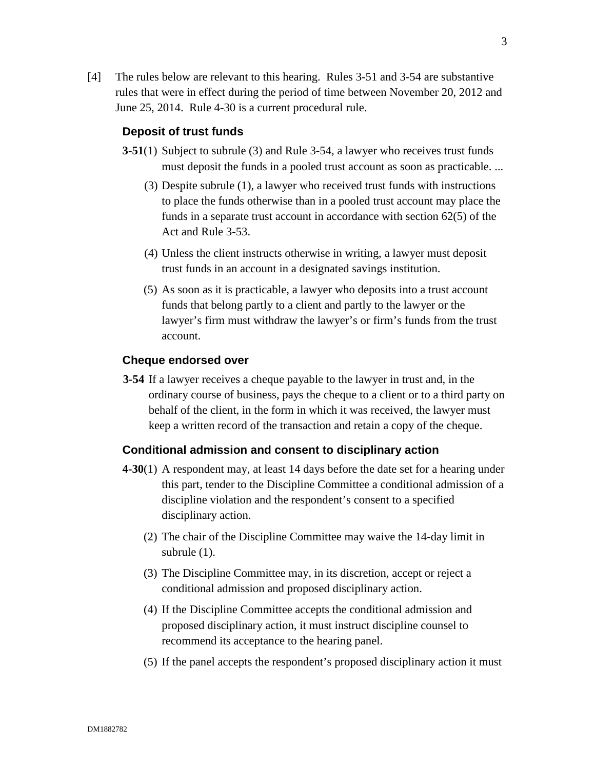[4] The rules below are relevant to this hearing. Rules 3-51 and 3-54 are substantive rules that were in effect during the period of time between November 20, 2012 and June 25, 2014. Rule 4-30 is a current procedural rule.

## **Deposit of trust funds**

- **3-51**(1) Subject to subrule (3) and Rule 3-54, a lawyer who receives trust funds must deposit the funds in a pooled trust account as soon as practicable. ...
	- (3) Despite subrule (1), a lawyer who received trust funds with instructions to place the funds otherwise than in a pooled trust account may place the funds in a separate trust account in accordance with section 62(5) of the Act and Rule 3-53.
	- (4) Unless the client instructs otherwise in writing, a lawyer must deposit trust funds in an account in a designated savings institution.
	- (5) As soon as it is practicable, a lawyer who deposits into a trust account funds that belong partly to a client and partly to the lawyer or the lawyer's firm must withdraw the lawyer's or firm's funds from the trust account.

## **Cheque endorsed over**

**3-54** If a lawyer receives a cheque payable to the lawyer in trust and, in the ordinary course of business, pays the cheque to a client or to a third party on behalf of the client, in the form in which it was received, the lawyer must keep a written record of the transaction and retain a copy of the cheque.

#### **Conditional admission and consent to disciplinary action**

- **4-30**(1) A respondent may, at least 14 days before the date set for a hearing under this part, tender to the Discipline Committee a conditional admission of a discipline violation and the respondent's consent to a specified disciplinary action.
	- (2) The chair of the Discipline Committee may waive the 14-day limit in subrule (1).
	- (3) The Discipline Committee may, in its discretion, accept or reject a conditional admission and proposed disciplinary action.
	- (4) If the Discipline Committee accepts the conditional admission and proposed disciplinary action, it must instruct discipline counsel to recommend its acceptance to the hearing panel.
	- (5) If the panel accepts the respondent's proposed disciplinary action it must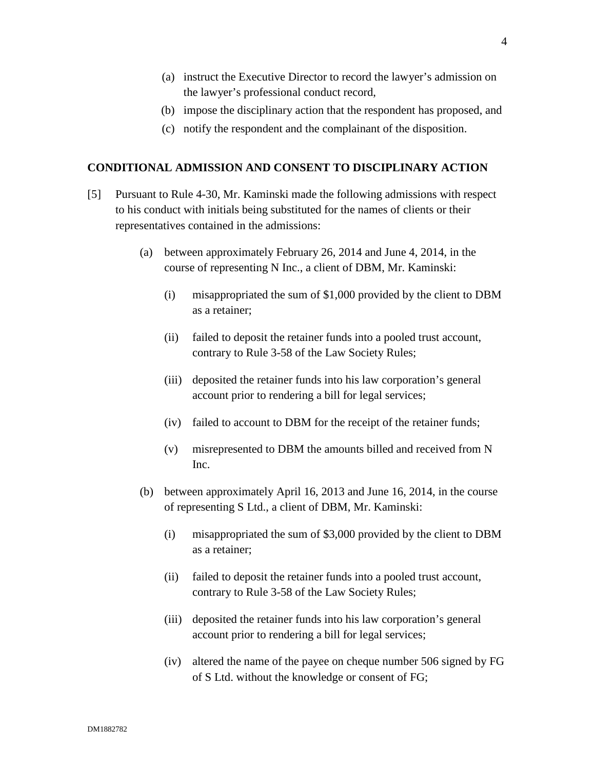- (a) instruct the Executive Director to record the lawyer's admission on the lawyer's professional conduct record,
- (b) impose the disciplinary action that the respondent has proposed, and
- (c) notify the respondent and the complainant of the disposition.

# **CONDITIONAL ADMISSION AND CONSENT TO DISCIPLINARY ACTION**

- [5] Pursuant to Rule 4-30, Mr. Kaminski made the following admissions with respect to his conduct with initials being substituted for the names of clients or their representatives contained in the admissions:
	- (a) between approximately February 26, 2014 and June 4, 2014, in the course of representing N Inc., a client of DBM, Mr. Kaminski:
		- (i) misappropriated the sum of \$1,000 provided by the client to DBM as a retainer;
		- (ii) failed to deposit the retainer funds into a pooled trust account, contrary to Rule 3-58 of the Law Society Rules;
		- (iii) deposited the retainer funds into his law corporation's general account prior to rendering a bill for legal services;
		- (iv) failed to account to DBM for the receipt of the retainer funds;
		- (v) misrepresented to DBM the amounts billed and received from N Inc.
	- (b) between approximately April 16, 2013 and June 16, 2014, in the course of representing S Ltd., a client of DBM, Mr. Kaminski:
		- (i) misappropriated the sum of \$3,000 provided by the client to DBM as a retainer;
		- (ii) failed to deposit the retainer funds into a pooled trust account, contrary to Rule 3-58 of the Law Society Rules;
		- (iii) deposited the retainer funds into his law corporation's general account prior to rendering a bill for legal services;
		- (iv) altered the name of the payee on cheque number 506 signed by FG of S Ltd. without the knowledge or consent of FG;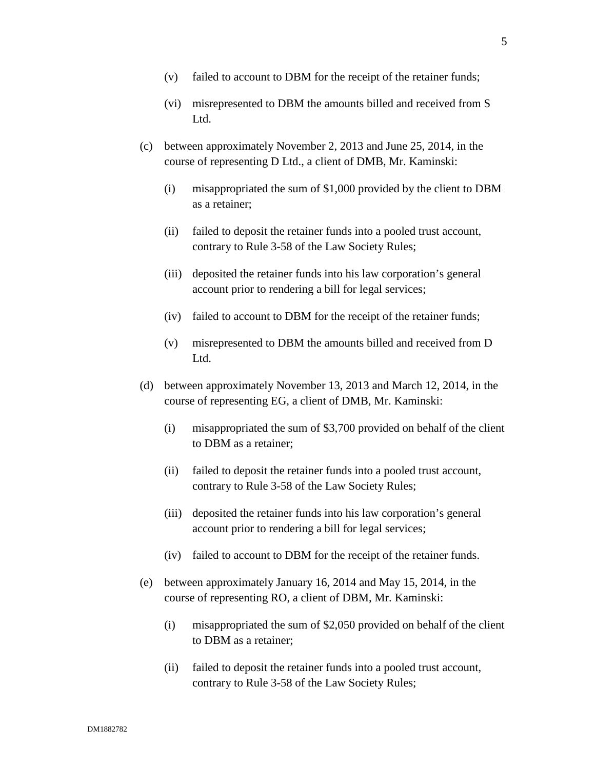- (v) failed to account to DBM for the receipt of the retainer funds;
- (vi) misrepresented to DBM the amounts billed and received from S Ltd.
- (c) between approximately November 2, 2013 and June 25, 2014, in the course of representing D Ltd., a client of DMB, Mr. Kaminski:
	- (i) misappropriated the sum of \$1,000 provided by the client to DBM as a retainer;
	- (ii) failed to deposit the retainer funds into a pooled trust account, contrary to Rule 3-58 of the Law Society Rules;
	- (iii) deposited the retainer funds into his law corporation's general account prior to rendering a bill for legal services;
	- (iv) failed to account to DBM for the receipt of the retainer funds;
	- (v) misrepresented to DBM the amounts billed and received from D Ltd.
- (d) between approximately November 13, 2013 and March 12, 2014, in the course of representing EG, a client of DMB, Mr. Kaminski:
	- (i) misappropriated the sum of \$3,700 provided on behalf of the client to DBM as a retainer;
	- (ii) failed to deposit the retainer funds into a pooled trust account, contrary to Rule 3-58 of the Law Society Rules;
	- (iii) deposited the retainer funds into his law corporation's general account prior to rendering a bill for legal services;
	- (iv) failed to account to DBM for the receipt of the retainer funds.
- (e) between approximately January 16, 2014 and May 15, 2014, in the course of representing RO, a client of DBM, Mr. Kaminski:
	- (i) misappropriated the sum of \$2,050 provided on behalf of the client to DBM as a retainer;
	- (ii) failed to deposit the retainer funds into a pooled trust account, contrary to Rule 3-58 of the Law Society Rules;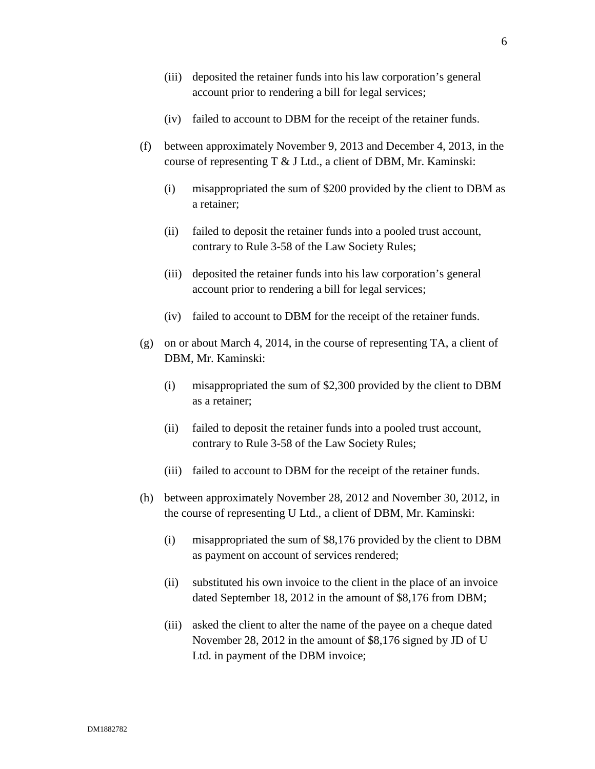- (iii) deposited the retainer funds into his law corporation's general account prior to rendering a bill for legal services;
- (iv) failed to account to DBM for the receipt of the retainer funds.
- (f) between approximately November 9, 2013 and December 4, 2013, in the course of representing T & J Ltd., a client of DBM, Mr. Kaminski:
	- (i) misappropriated the sum of \$200 provided by the client to DBM as a retainer;
	- (ii) failed to deposit the retainer funds into a pooled trust account, contrary to Rule 3-58 of the Law Society Rules;
	- (iii) deposited the retainer funds into his law corporation's general account prior to rendering a bill for legal services;
	- (iv) failed to account to DBM for the receipt of the retainer funds.
- (g) on or about March 4, 2014, in the course of representing TA, a client of DBM, Mr. Kaminski:
	- (i) misappropriated the sum of \$2,300 provided by the client to DBM as a retainer;
	- (ii) failed to deposit the retainer funds into a pooled trust account, contrary to Rule 3-58 of the Law Society Rules;
	- (iii) failed to account to DBM for the receipt of the retainer funds.
- (h) between approximately November 28, 2012 and November 30, 2012, in the course of representing U Ltd., a client of DBM, Mr. Kaminski:
	- (i) misappropriated the sum of \$8,176 provided by the client to DBM as payment on account of services rendered;
	- (ii) substituted his own invoice to the client in the place of an invoice dated September 18, 2012 in the amount of \$8,176 from DBM;
	- (iii) asked the client to alter the name of the payee on a cheque dated November 28, 2012 in the amount of \$8,176 signed by JD of U Ltd. in payment of the DBM invoice;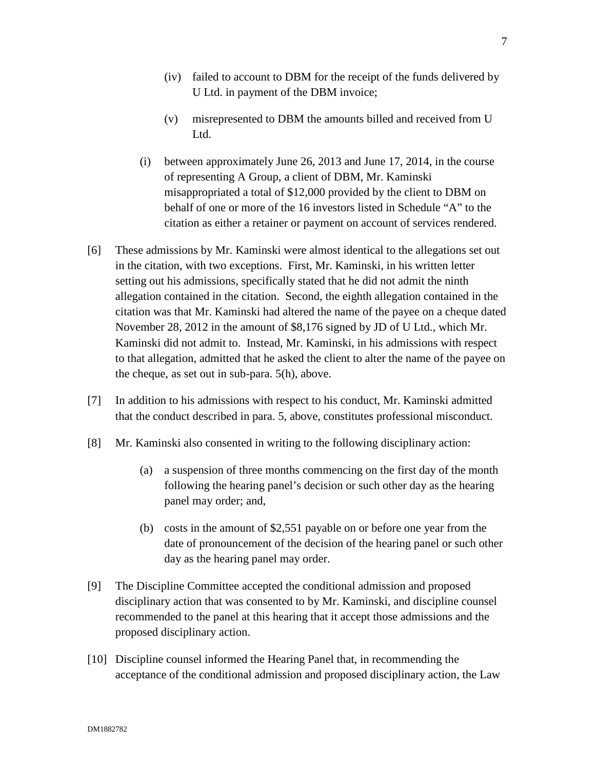- (iv) failed to account to DBM for the receipt of the funds delivered by U Ltd. in payment of the DBM invoice;
- (v) misrepresented to DBM the amounts billed and received from U Ltd.
- (i) between approximately June 26, 2013 and June 17, 2014, in the course of representing A Group, a client of DBM, Mr. Kaminski misappropriated a total of \$12,000 provided by the client to DBM on behalf of one or more of the 16 investors listed in Schedule "A" to the citation as either a retainer or payment on account of services rendered.
- [6] These admissions by Mr. Kaminski were almost identical to the allegations set out in the citation, with two exceptions. First, Mr. Kaminski, in his written letter setting out his admissions, specifically stated that he did not admit the ninth allegation contained in the citation. Second, the eighth allegation contained in the citation was that Mr. Kaminski had altered the name of the payee on a cheque dated November 28, 2012 in the amount of \$8,176 signed by JD of U Ltd., which Mr. Kaminski did not admit to. Instead, Mr. Kaminski, in his admissions with respect to that allegation, admitted that he asked the client to alter the name of the payee on the cheque, as set out in sub-para. 5(h), above.
- [7] In addition to his admissions with respect to his conduct, Mr. Kaminski admitted that the conduct described in para. 5, above, constitutes professional misconduct.
- [8] Mr. Kaminski also consented in writing to the following disciplinary action:
	- (a) a suspension of three months commencing on the first day of the month following the hearing panel's decision or such other day as the hearing panel may order; and,
	- (b) costs in the amount of \$2,551 payable on or before one year from the date of pronouncement of the decision of the hearing panel or such other day as the hearing panel may order.
- [9] The Discipline Committee accepted the conditional admission and proposed disciplinary action that was consented to by Mr. Kaminski, and discipline counsel recommended to the panel at this hearing that it accept those admissions and the proposed disciplinary action.
- [10] Discipline counsel informed the Hearing Panel that, in recommending the acceptance of the conditional admission and proposed disciplinary action, the Law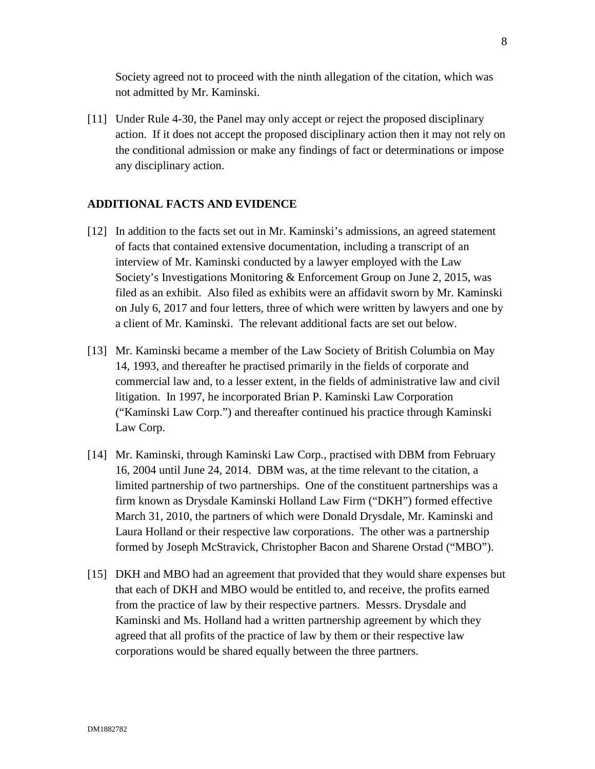Society agreed not to proceed with the ninth allegation of the citation, which was not admitted by Mr. Kaminski.

[11] Under Rule 4-30, the Panel may only accept or reject the proposed disciplinary action. If it does not accept the proposed disciplinary action then it may not rely on the conditional admission or make any findings of fact or determinations or impose any disciplinary action.

#### **ADDITIONAL FACTS AND EVIDENCE**

- [12] In addition to the facts set out in Mr. Kaminski's admissions, an agreed statement of facts that contained extensive documentation, including a transcript of an interview of Mr. Kaminski conducted by a lawyer employed with the Law Society's Investigations Monitoring & Enforcement Group on June 2, 2015, was filed as an exhibit. Also filed as exhibits were an affidavit sworn by Mr. Kaminski on July 6, 2017 and four letters, three of which were written by lawyers and one by a client of Mr. Kaminski. The relevant additional facts are set out below.
- [13] Mr. Kaminski became a member of the Law Society of British Columbia on May 14, 1993, and thereafter he practised primarily in the fields of corporate and commercial law and, to a lesser extent, in the fields of administrative law and civil litigation. In 1997, he incorporated Brian P. Kaminski Law Corporation ("Kaminski Law Corp.") and thereafter continued his practice through Kaminski Law Corp.
- [14] Mr. Kaminski, through Kaminski Law Corp., practised with DBM from February 16, 2004 until June 24, 2014. DBM was, at the time relevant to the citation, a limited partnership of two partnerships. One of the constituent partnerships was a firm known as Drysdale Kaminski Holland Law Firm ("DKH") formed effective March 31, 2010, the partners of which were Donald Drysdale, Mr. Kaminski and Laura Holland or their respective law corporations. The other was a partnership formed by Joseph McStravick, Christopher Bacon and Sharene Orstad ("MBO").
- [15] DKH and MBO had an agreement that provided that they would share expenses but that each of DKH and MBO would be entitled to, and receive, the profits earned from the practice of law by their respective partners. Messrs. Drysdale and Kaminski and Ms. Holland had a written partnership agreement by which they agreed that all profits of the practice of law by them or their respective law corporations would be shared equally between the three partners.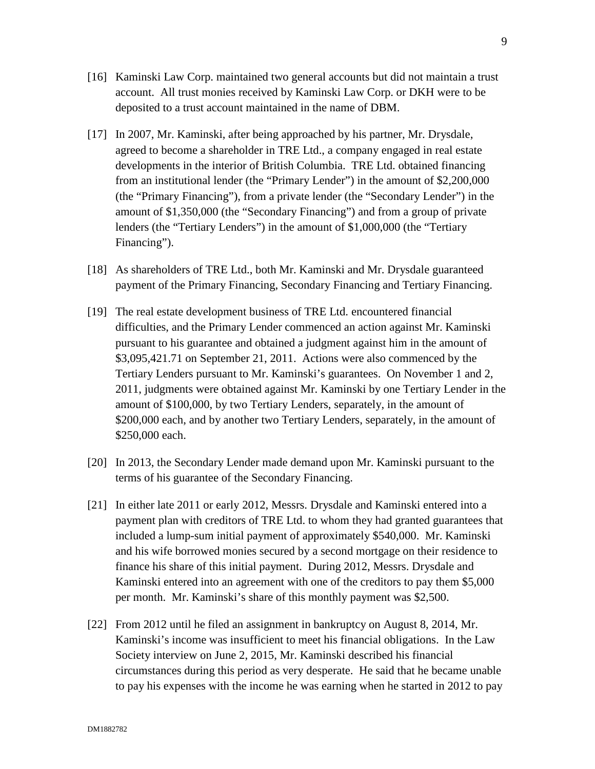- [16] Kaminski Law Corp. maintained two general accounts but did not maintain a trust account. All trust monies received by Kaminski Law Corp. or DKH were to be deposited to a trust account maintained in the name of DBM.
- [17] In 2007, Mr. Kaminski, after being approached by his partner, Mr. Drysdale, agreed to become a shareholder in TRE Ltd., a company engaged in real estate developments in the interior of British Columbia. TRE Ltd. obtained financing from an institutional lender (the "Primary Lender") in the amount of \$2,200,000 (the "Primary Financing"), from a private lender (the "Secondary Lender") in the amount of \$1,350,000 (the "Secondary Financing") and from a group of private lenders (the "Tertiary Lenders") in the amount of \$1,000,000 (the "Tertiary Financing").
- [18] As shareholders of TRE Ltd., both Mr. Kaminski and Mr. Drysdale guaranteed payment of the Primary Financing, Secondary Financing and Tertiary Financing.
- [19] The real estate development business of TRE Ltd. encountered financial difficulties, and the Primary Lender commenced an action against Mr. Kaminski pursuant to his guarantee and obtained a judgment against him in the amount of \$3,095,421.71 on September 21, 2011. Actions were also commenced by the Tertiary Lenders pursuant to Mr. Kaminski's guarantees. On November 1 and 2, 2011, judgments were obtained against Mr. Kaminski by one Tertiary Lender in the amount of \$100,000, by two Tertiary Lenders, separately, in the amount of \$200,000 each, and by another two Tertiary Lenders, separately, in the amount of \$250,000 each.
- [20] In 2013, the Secondary Lender made demand upon Mr. Kaminski pursuant to the terms of his guarantee of the Secondary Financing.
- [21] In either late 2011 or early 2012, Messrs. Drysdale and Kaminski entered into a payment plan with creditors of TRE Ltd. to whom they had granted guarantees that included a lump-sum initial payment of approximately \$540,000. Mr. Kaminski and his wife borrowed monies secured by a second mortgage on their residence to finance his share of this initial payment. During 2012, Messrs. Drysdale and Kaminski entered into an agreement with one of the creditors to pay them \$5,000 per month. Mr. Kaminski's share of this monthly payment was \$2,500.
- [22] From 2012 until he filed an assignment in bankruptcy on August 8, 2014, Mr. Kaminski's income was insufficient to meet his financial obligations. In the Law Society interview on June 2, 2015, Mr. Kaminski described his financial circumstances during this period as very desperate. He said that he became unable to pay his expenses with the income he was earning when he started in 2012 to pay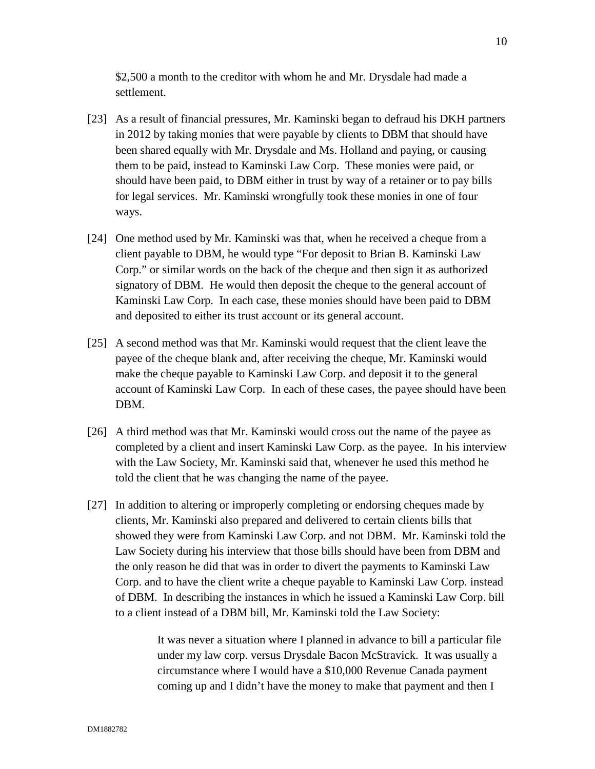\$2,500 a month to the creditor with whom he and Mr. Drysdale had made a settlement.

- [23] As a result of financial pressures, Mr. Kaminski began to defraud his DKH partners in 2012 by taking monies that were payable by clients to DBM that should have been shared equally with Mr. Drysdale and Ms. Holland and paying, or causing them to be paid, instead to Kaminski Law Corp. These monies were paid, or should have been paid, to DBM either in trust by way of a retainer or to pay bills for legal services. Mr. Kaminski wrongfully took these monies in one of four ways.
- [24] One method used by Mr. Kaminski was that, when he received a cheque from a client payable to DBM, he would type "For deposit to Brian B. Kaminski Law Corp." or similar words on the back of the cheque and then sign it as authorized signatory of DBM. He would then deposit the cheque to the general account of Kaminski Law Corp. In each case, these monies should have been paid to DBM and deposited to either its trust account or its general account.
- [25] A second method was that Mr. Kaminski would request that the client leave the payee of the cheque blank and, after receiving the cheque, Mr. Kaminski would make the cheque payable to Kaminski Law Corp. and deposit it to the general account of Kaminski Law Corp. In each of these cases, the payee should have been DBM.
- [26] A third method was that Mr. Kaminski would cross out the name of the payee as completed by a client and insert Kaminski Law Corp. as the payee. In his interview with the Law Society, Mr. Kaminski said that, whenever he used this method he told the client that he was changing the name of the payee.
- [27] In addition to altering or improperly completing or endorsing cheques made by clients, Mr. Kaminski also prepared and delivered to certain clients bills that showed they were from Kaminski Law Corp. and not DBM. Mr. Kaminski told the Law Society during his interview that those bills should have been from DBM and the only reason he did that was in order to divert the payments to Kaminski Law Corp. and to have the client write a cheque payable to Kaminski Law Corp. instead of DBM. In describing the instances in which he issued a Kaminski Law Corp. bill to a client instead of a DBM bill, Mr. Kaminski told the Law Society:

It was never a situation where I planned in advance to bill a particular file under my law corp. versus Drysdale Bacon McStravick. It was usually a circumstance where I would have a \$10,000 Revenue Canada payment coming up and I didn't have the money to make that payment and then I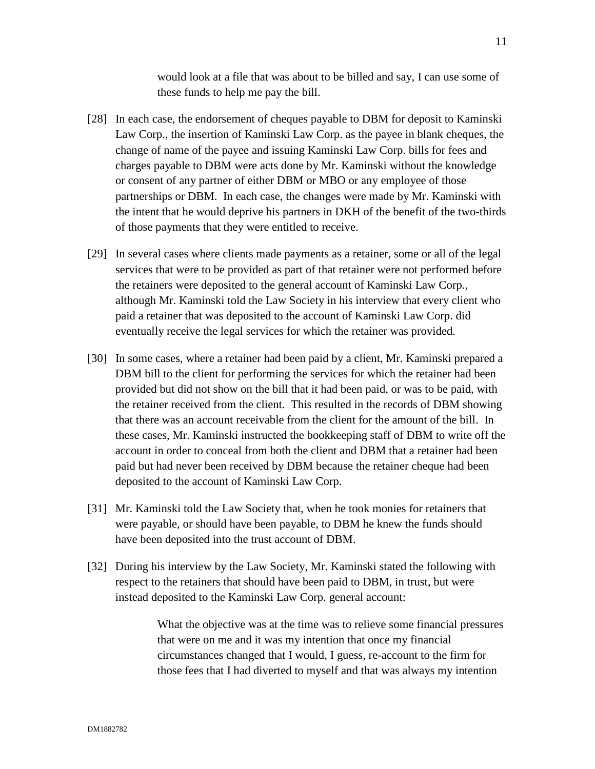would look at a file that was about to be billed and say, I can use some of these funds to help me pay the bill.

- [28] In each case, the endorsement of cheques payable to DBM for deposit to Kaminski Law Corp., the insertion of Kaminski Law Corp. as the payee in blank cheques, the change of name of the payee and issuing Kaminski Law Corp. bills for fees and charges payable to DBM were acts done by Mr. Kaminski without the knowledge or consent of any partner of either DBM or MBO or any employee of those partnerships or DBM. In each case, the changes were made by Mr. Kaminski with the intent that he would deprive his partners in DKH of the benefit of the two-thirds of those payments that they were entitled to receive.
- [29] In several cases where clients made payments as a retainer, some or all of the legal services that were to be provided as part of that retainer were not performed before the retainers were deposited to the general account of Kaminski Law Corp., although Mr. Kaminski told the Law Society in his interview that every client who paid a retainer that was deposited to the account of Kaminski Law Corp. did eventually receive the legal services for which the retainer was provided.
- [30] In some cases, where a retainer had been paid by a client, Mr. Kaminski prepared a DBM bill to the client for performing the services for which the retainer had been provided but did not show on the bill that it had been paid, or was to be paid, with the retainer received from the client. This resulted in the records of DBM showing that there was an account receivable from the client for the amount of the bill. In these cases, Mr. Kaminski instructed the bookkeeping staff of DBM to write off the account in order to conceal from both the client and DBM that a retainer had been paid but had never been received by DBM because the retainer cheque had been deposited to the account of Kaminski Law Corp.
- [31] Mr. Kaminski told the Law Society that, when he took monies for retainers that were payable, or should have been payable, to DBM he knew the funds should have been deposited into the trust account of DBM.
- [32] During his interview by the Law Society, Mr. Kaminski stated the following with respect to the retainers that should have been paid to DBM, in trust, but were instead deposited to the Kaminski Law Corp. general account:

What the objective was at the time was to relieve some financial pressures that were on me and it was my intention that once my financial circumstances changed that I would, I guess, re-account to the firm for those fees that I had diverted to myself and that was always my intention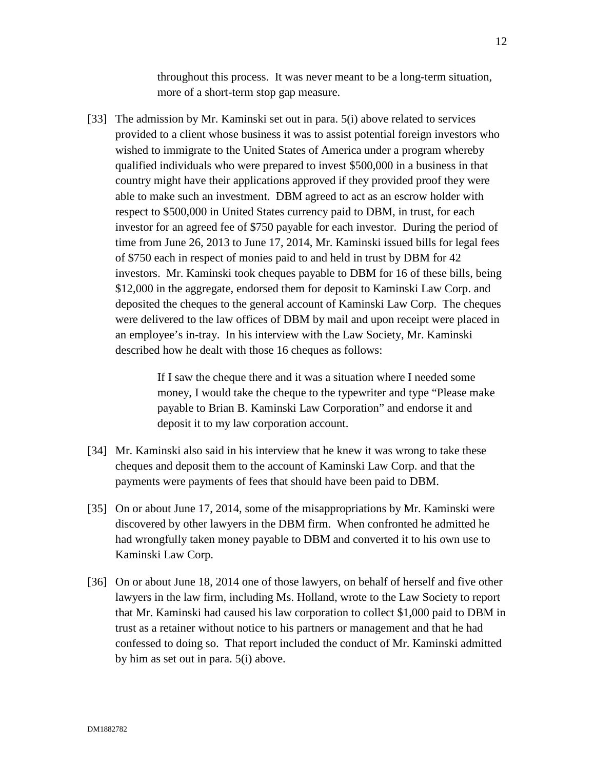throughout this process. It was never meant to be a long-term situation, more of a short-term stop gap measure.

[33] The admission by Mr. Kaminski set out in para. 5(i) above related to services provided to a client whose business it was to assist potential foreign investors who wished to immigrate to the United States of America under a program whereby qualified individuals who were prepared to invest \$500,000 in a business in that country might have their applications approved if they provided proof they were able to make such an investment. DBM agreed to act as an escrow holder with respect to \$500,000 in United States currency paid to DBM, in trust, for each investor for an agreed fee of \$750 payable for each investor. During the period of time from June 26, 2013 to June 17, 2014, Mr. Kaminski issued bills for legal fees of \$750 each in respect of monies paid to and held in trust by DBM for 42 investors. Mr. Kaminski took cheques payable to DBM for 16 of these bills, being \$12,000 in the aggregate, endorsed them for deposit to Kaminski Law Corp. and deposited the cheques to the general account of Kaminski Law Corp. The cheques were delivered to the law offices of DBM by mail and upon receipt were placed in an employee's in-tray. In his interview with the Law Society, Mr. Kaminski described how he dealt with those 16 cheques as follows:

> If I saw the cheque there and it was a situation where I needed some money, I would take the cheque to the typewriter and type "Please make payable to Brian B. Kaminski Law Corporation" and endorse it and deposit it to my law corporation account.

- [34] Mr. Kaminski also said in his interview that he knew it was wrong to take these cheques and deposit them to the account of Kaminski Law Corp. and that the payments were payments of fees that should have been paid to DBM.
- [35] On or about June 17, 2014, some of the misappropriations by Mr. Kaminski were discovered by other lawyers in the DBM firm. When confronted he admitted he had wrongfully taken money payable to DBM and converted it to his own use to Kaminski Law Corp.
- [36] On or about June 18, 2014 one of those lawyers, on behalf of herself and five other lawyers in the law firm, including Ms. Holland, wrote to the Law Society to report that Mr. Kaminski had caused his law corporation to collect \$1,000 paid to DBM in trust as a retainer without notice to his partners or management and that he had confessed to doing so. That report included the conduct of Mr. Kaminski admitted by him as set out in para. 5(i) above.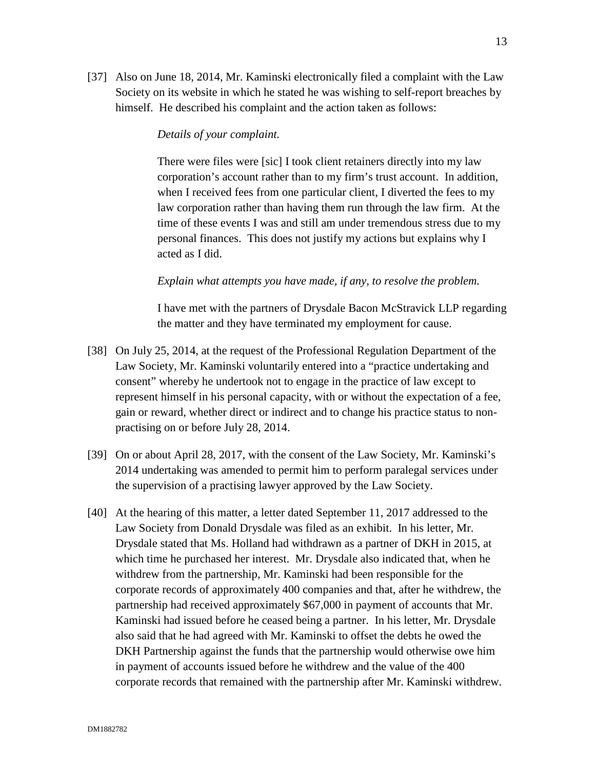[37] Also on June 18, 2014, Mr. Kaminski electronically filed a complaint with the Law Society on its website in which he stated he was wishing to self-report breaches by himself. He described his complaint and the action taken as follows:

## *Details of your complaint.*

There were files were [sic] I took client retainers directly into my law corporation's account rather than to my firm's trust account. In addition, when I received fees from one particular client, I diverted the fees to my law corporation rather than having them run through the law firm. At the time of these events I was and still am under tremendous stress due to my personal finances. This does not justify my actions but explains why I acted as I did.

#### *Explain what attempts you have made, if any, to resolve the problem.*

I have met with the partners of Drysdale Bacon McStravick LLP regarding the matter and they have terminated my employment for cause.

- [38] On July 25, 2014, at the request of the Professional Regulation Department of the Law Society, Mr. Kaminski voluntarily entered into a "practice undertaking and consent" whereby he undertook not to engage in the practice of law except to represent himself in his personal capacity, with or without the expectation of a fee, gain or reward, whether direct or indirect and to change his practice status to nonpractising on or before July 28, 2014.
- [39] On or about April 28, 2017, with the consent of the Law Society, Mr. Kaminski's 2014 undertaking was amended to permit him to perform paralegal services under the supervision of a practising lawyer approved by the Law Society.
- [40] At the hearing of this matter, a letter dated September 11, 2017 addressed to the Law Society from Donald Drysdale was filed as an exhibit. In his letter, Mr. Drysdale stated that Ms. Holland had withdrawn as a partner of DKH in 2015, at which time he purchased her interest. Mr. Drysdale also indicated that, when he withdrew from the partnership, Mr. Kaminski had been responsible for the corporate records of approximately 400 companies and that, after he withdrew, the partnership had received approximately \$67,000 in payment of accounts that Mr. Kaminski had issued before he ceased being a partner. In his letter, Mr. Drysdale also said that he had agreed with Mr. Kaminski to offset the debts he owed the DKH Partnership against the funds that the partnership would otherwise owe him in payment of accounts issued before he withdrew and the value of the 400 corporate records that remained with the partnership after Mr. Kaminski withdrew.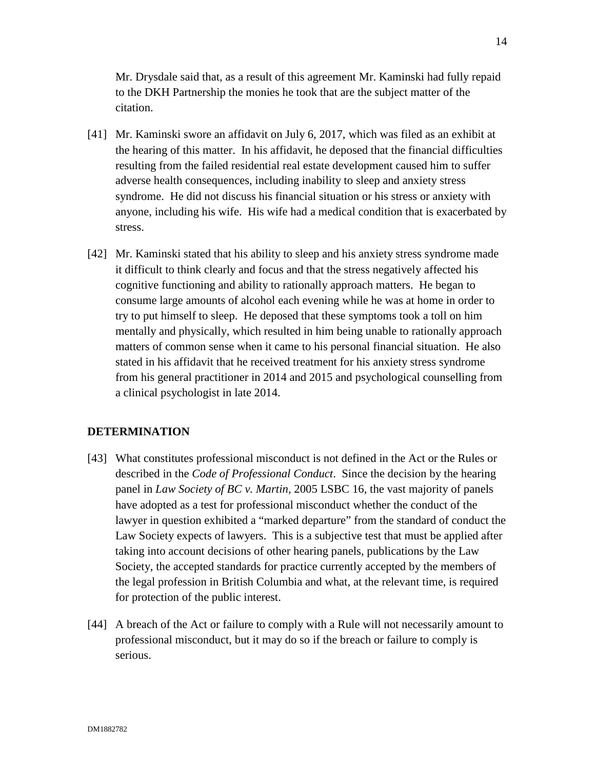Mr. Drysdale said that, as a result of this agreement Mr. Kaminski had fully repaid to the DKH Partnership the monies he took that are the subject matter of the citation.

- [41] Mr. Kaminski swore an affidavit on July 6, 2017, which was filed as an exhibit at the hearing of this matter. In his affidavit, he deposed that the financial difficulties resulting from the failed residential real estate development caused him to suffer adverse health consequences, including inability to sleep and anxiety stress syndrome. He did not discuss his financial situation or his stress or anxiety with anyone, including his wife. His wife had a medical condition that is exacerbated by stress.
- [42] Mr. Kaminski stated that his ability to sleep and his anxiety stress syndrome made it difficult to think clearly and focus and that the stress negatively affected his cognitive functioning and ability to rationally approach matters. He began to consume large amounts of alcohol each evening while he was at home in order to try to put himself to sleep. He deposed that these symptoms took a toll on him mentally and physically, which resulted in him being unable to rationally approach matters of common sense when it came to his personal financial situation. He also stated in his affidavit that he received treatment for his anxiety stress syndrome from his general practitioner in 2014 and 2015 and psychological counselling from a clinical psychologist in late 2014.

# **DETERMINATION**

- [43] What constitutes professional misconduct is not defined in the Act or the Rules or described in the *Code of Professional Conduct*. Since the decision by the hearing panel in *Law Society of BC v. Martin,* 2005 LSBC 16, the vast majority of panels have adopted as a test for professional misconduct whether the conduct of the lawyer in question exhibited a "marked departure" from the standard of conduct the Law Society expects of lawyers. This is a subjective test that must be applied after taking into account decisions of other hearing panels, publications by the Law Society, the accepted standards for practice currently accepted by the members of the legal profession in British Columbia and what, at the relevant time, is required for protection of the public interest.
- [44] A breach of the Act or failure to comply with a Rule will not necessarily amount to professional misconduct, but it may do so if the breach or failure to comply is serious.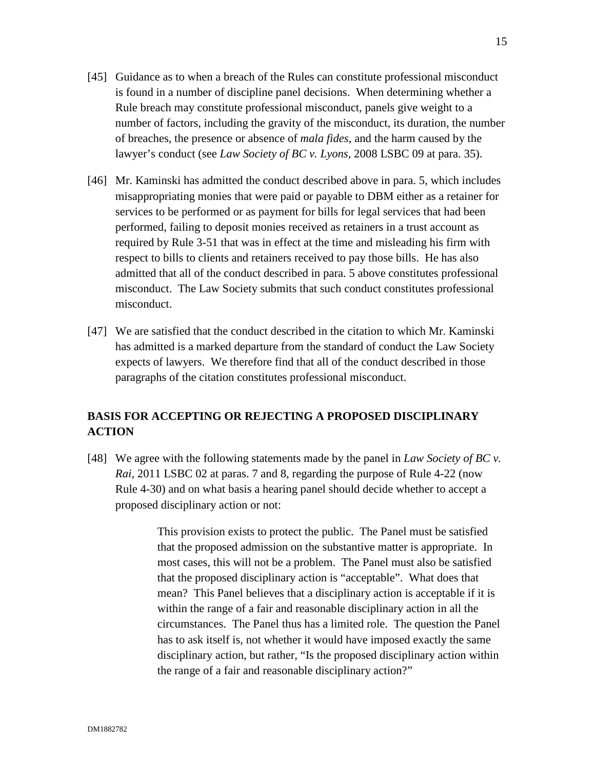- [45] Guidance as to when a breach of the Rules can constitute professional misconduct is found in a number of discipline panel decisions. When determining whether a Rule breach may constitute professional misconduct, panels give weight to a number of factors, including the gravity of the misconduct, its duration, the number of breaches, the presence or absence of *mala fides*, and the harm caused by the lawyer's conduct (see *Law Society of BC v. Lyons,* 2008 LSBC 09 at para. 35).
- [46] Mr. Kaminski has admitted the conduct described above in para. 5, which includes misappropriating monies that were paid or payable to DBM either as a retainer for services to be performed or as payment for bills for legal services that had been performed, failing to deposit monies received as retainers in a trust account as required by Rule 3-51 that was in effect at the time and misleading his firm with respect to bills to clients and retainers received to pay those bills. He has also admitted that all of the conduct described in para. 5 above constitutes professional misconduct. The Law Society submits that such conduct constitutes professional misconduct.
- [47] We are satisfied that the conduct described in the citation to which Mr. Kaminski has admitted is a marked departure from the standard of conduct the Law Society expects of lawyers. We therefore find that all of the conduct described in those paragraphs of the citation constitutes professional misconduct.

# **BASIS FOR ACCEPTING OR REJECTING A PROPOSED DISCIPLINARY ACTION**

[48] We agree with the following statements made by the panel in *Law Society of BC v. Rai,* 2011 LSBC 02 at paras. 7 and 8, regarding the purpose of Rule 4-22 (now Rule 4-30) and on what basis a hearing panel should decide whether to accept a proposed disciplinary action or not:

> This provision exists to protect the public. The Panel must be satisfied that the proposed admission on the substantive matter is appropriate. In most cases, this will not be a problem. The Panel must also be satisfied that the proposed disciplinary action is "acceptable". What does that mean? This Panel believes that a disciplinary action is acceptable if it is within the range of a fair and reasonable disciplinary action in all the circumstances. The Panel thus has a limited role. The question the Panel has to ask itself is, not whether it would have imposed exactly the same disciplinary action, but rather, "Is the proposed disciplinary action within the range of a fair and reasonable disciplinary action?"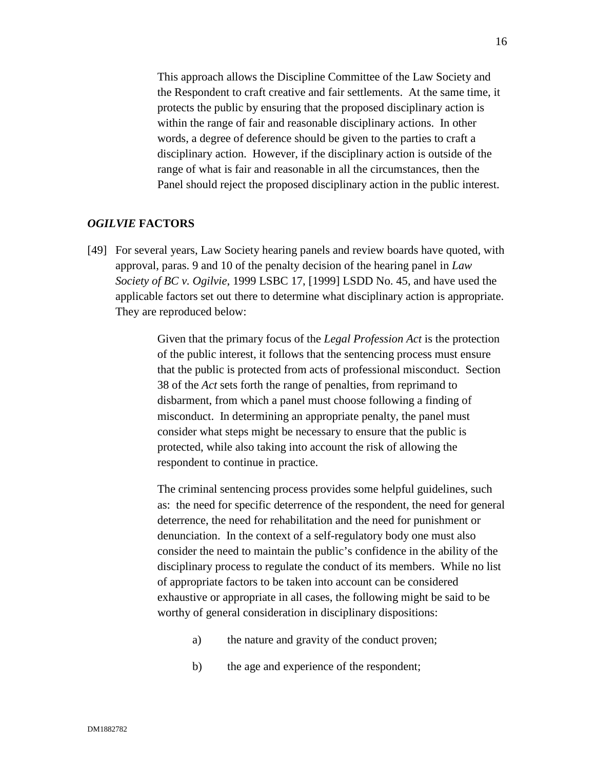This approach allows the Discipline Committee of the Law Society and the Respondent to craft creative and fair settlements. At the same time, it protects the public by ensuring that the proposed disciplinary action is within the range of fair and reasonable disciplinary actions. In other words, a degree of deference should be given to the parties to craft a disciplinary action. However, if the disciplinary action is outside of the range of what is fair and reasonable in all the circumstances, then the Panel should reject the proposed disciplinary action in the public interest.

## *OGILVIE* **FACTORS**

[49] For several years, Law Society hearing panels and review boards have quoted, with approval, paras. 9 and 10 of the penalty decision of the hearing panel in *Law Society of BC v. Ogilvie*, 1999 LSBC 17, [1999] LSDD No. 45, and have used the applicable factors set out there to determine what disciplinary action is appropriate. They are reproduced below:

> Given that the primary focus of the *Legal Profession Act* is the protection of the public interest, it follows that the sentencing process must ensure that the public is protected from acts of professional misconduct. Section 38 of the *Act* sets forth the range of penalties, from reprimand to disbarment, from which a panel must choose following a finding of misconduct. In determining an appropriate penalty, the panel must consider what steps might be necessary to ensure that the public is protected, while also taking into account the risk of allowing the respondent to continue in practice.

The criminal sentencing process provides some helpful guidelines, such as: the need for specific deterrence of the respondent, the need for general deterrence, the need for rehabilitation and the need for punishment or denunciation. In the context of a self-regulatory body one must also consider the need to maintain the public's confidence in the ability of the disciplinary process to regulate the conduct of its members. While no list of appropriate factors to be taken into account can be considered exhaustive or appropriate in all cases, the following might be said to be worthy of general consideration in disciplinary dispositions:

- a) the nature and gravity of the conduct proven;
- b) the age and experience of the respondent;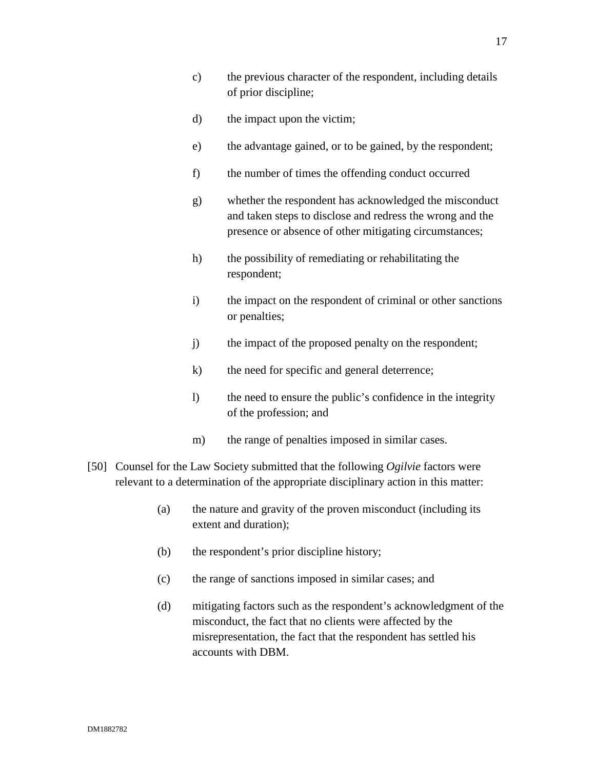- c) the previous character of the respondent, including details of prior discipline;
- d) the impact upon the victim;
- e) the advantage gained, or to be gained, by the respondent;
- f) the number of times the offending conduct occurred
- g) whether the respondent has acknowledged the misconduct and taken steps to disclose and redress the wrong and the presence or absence of other mitigating circumstances;
- h) the possibility of remediating or rehabilitating the respondent;
- i) the impact on the respondent of criminal or other sanctions or penalties;
- j) the impact of the proposed penalty on the respondent;
- k) the need for specific and general deterrence;
- l) the need to ensure the public's confidence in the integrity of the profession; and
- m) the range of penalties imposed in similar cases.
- [50] Counsel for the Law Society submitted that the following *Ogilvie* factors were relevant to a determination of the appropriate disciplinary action in this matter:
	- (a) the nature and gravity of the proven misconduct (including its extent and duration);
	- (b) the respondent's prior discipline history;
	- (c) the range of sanctions imposed in similar cases; and
	- (d) mitigating factors such as the respondent's acknowledgment of the misconduct, the fact that no clients were affected by the misrepresentation, the fact that the respondent has settled his accounts with DBM.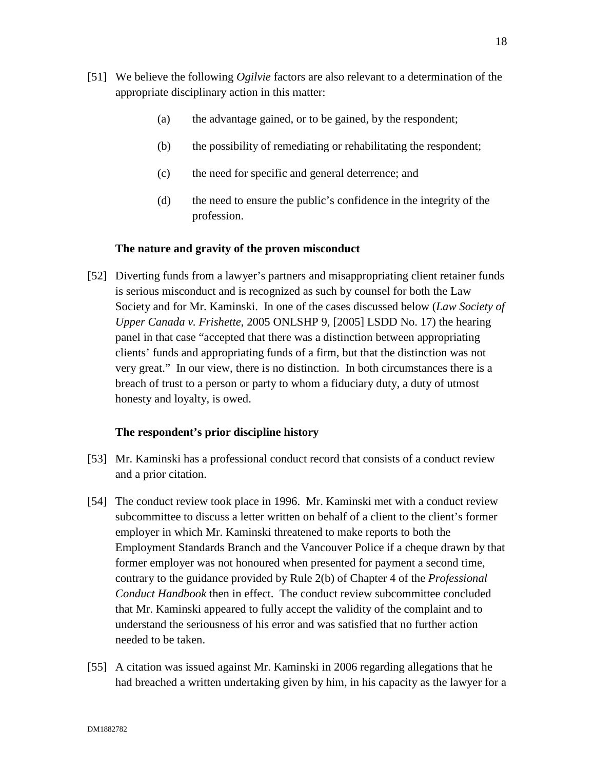- [51] We believe the following *Ogilvie* factors are also relevant to a determination of the appropriate disciplinary action in this matter:
	- (a) the advantage gained, or to be gained, by the respondent;
	- (b) the possibility of remediating or rehabilitating the respondent;
	- (c) the need for specific and general deterrence; and
	- (d) the need to ensure the public's confidence in the integrity of the profession.

## **The nature and gravity of the proven misconduct**

[52] Diverting funds from a lawyer's partners and misappropriating client retainer funds is serious misconduct and is recognized as such by counsel for both the Law Society and for Mr. Kaminski. In one of the cases discussed below (*Law Society of Upper Canada v. Frishette*, 2005 ONLSHP 9, [2005] LSDD No. 17) the hearing panel in that case "accepted that there was a distinction between appropriating clients' funds and appropriating funds of a firm, but that the distinction was not very great." In our view, there is no distinction. In both circumstances there is a breach of trust to a person or party to whom a fiduciary duty, a duty of utmost honesty and loyalty, is owed.

## **The respondent's prior discipline history**

- [53] Mr. Kaminski has a professional conduct record that consists of a conduct review and a prior citation.
- [54] The conduct review took place in 1996. Mr. Kaminski met with a conduct review subcommittee to discuss a letter written on behalf of a client to the client's former employer in which Mr. Kaminski threatened to make reports to both the Employment Standards Branch and the Vancouver Police if a cheque drawn by that former employer was not honoured when presented for payment a second time, contrary to the guidance provided by Rule 2(b) of Chapter 4 of the *Professional Conduct Handbook* then in effect. The conduct review subcommittee concluded that Mr. Kaminski appeared to fully accept the validity of the complaint and to understand the seriousness of his error and was satisfied that no further action needed to be taken.
- [55] A citation was issued against Mr. Kaminski in 2006 regarding allegations that he had breached a written undertaking given by him, in his capacity as the lawyer for a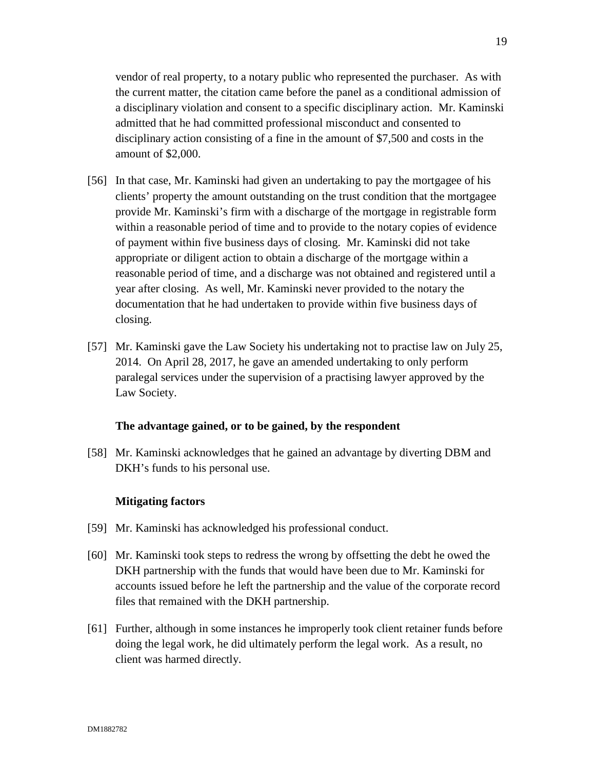vendor of real property, to a notary public who represented the purchaser. As with the current matter, the citation came before the panel as a conditional admission of a disciplinary violation and consent to a specific disciplinary action. Mr. Kaminski admitted that he had committed professional misconduct and consented to disciplinary action consisting of a fine in the amount of \$7,500 and costs in the amount of \$2,000.

- [56] In that case, Mr. Kaminski had given an undertaking to pay the mortgagee of his clients' property the amount outstanding on the trust condition that the mortgagee provide Mr. Kaminski's firm with a discharge of the mortgage in registrable form within a reasonable period of time and to provide to the notary copies of evidence of payment within five business days of closing. Mr. Kaminski did not take appropriate or diligent action to obtain a discharge of the mortgage within a reasonable period of time, and a discharge was not obtained and registered until a year after closing. As well, Mr. Kaminski never provided to the notary the documentation that he had undertaken to provide within five business days of closing.
- [57] Mr. Kaminski gave the Law Society his undertaking not to practise law on July 25, 2014. On April 28, 2017, he gave an amended undertaking to only perform paralegal services under the supervision of a practising lawyer approved by the Law Society.

#### **The advantage gained, or to be gained, by the respondent**

[58] Mr. Kaminski acknowledges that he gained an advantage by diverting DBM and DKH's funds to his personal use.

#### **Mitigating factors**

- [59] Mr. Kaminski has acknowledged his professional conduct.
- [60] Mr. Kaminski took steps to redress the wrong by offsetting the debt he owed the DKH partnership with the funds that would have been due to Mr. Kaminski for accounts issued before he left the partnership and the value of the corporate record files that remained with the DKH partnership.
- [61] Further, although in some instances he improperly took client retainer funds before doing the legal work, he did ultimately perform the legal work. As a result, no client was harmed directly.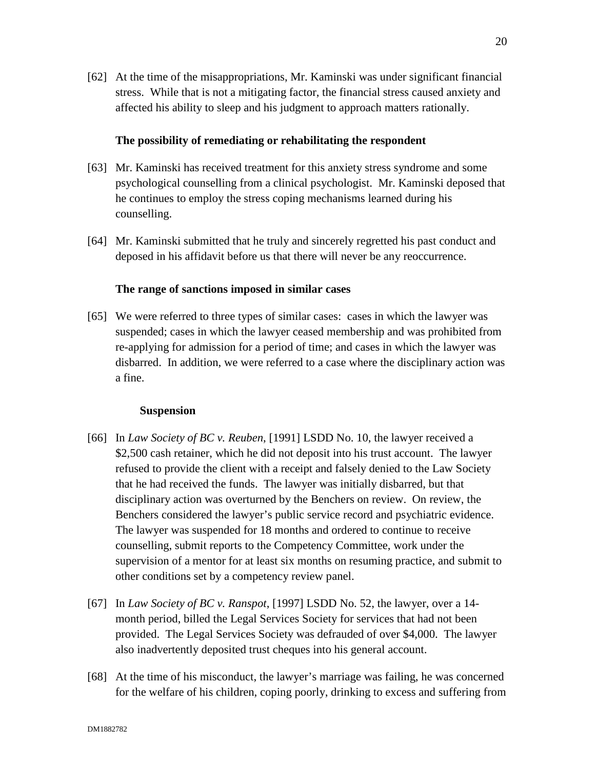[62] At the time of the misappropriations, Mr. Kaminski was under significant financial stress. While that is not a mitigating factor, the financial stress caused anxiety and affected his ability to sleep and his judgment to approach matters rationally.

### **The possibility of remediating or rehabilitating the respondent**

- [63] Mr. Kaminski has received treatment for this anxiety stress syndrome and some psychological counselling from a clinical psychologist. Mr. Kaminski deposed that he continues to employ the stress coping mechanisms learned during his counselling.
- [64] Mr. Kaminski submitted that he truly and sincerely regretted his past conduct and deposed in his affidavit before us that there will never be any reoccurrence.

#### **The range of sanctions imposed in similar cases**

[65] We were referred to three types of similar cases: cases in which the lawyer was suspended; cases in which the lawyer ceased membership and was prohibited from re-applying for admission for a period of time; and cases in which the lawyer was disbarred. In addition, we were referred to a case where the disciplinary action was a fine.

#### **Suspension**

- [66] In *Law Society of BC v. Reuben*, [1991] LSDD No. 10, the lawyer received a \$2,500 cash retainer, which he did not deposit into his trust account. The lawyer refused to provide the client with a receipt and falsely denied to the Law Society that he had received the funds. The lawyer was initially disbarred, but that disciplinary action was overturned by the Benchers on review. On review, the Benchers considered the lawyer's public service record and psychiatric evidence. The lawyer was suspended for 18 months and ordered to continue to receive counselling, submit reports to the Competency Committee, work under the supervision of a mentor for at least six months on resuming practice, and submit to other conditions set by a competency review panel.
- [67] In *Law Society of BC v. Ranspot*, [1997] LSDD No. 52, the lawyer, over a 14 month period, billed the Legal Services Society for services that had not been provided. The Legal Services Society was defrauded of over \$4,000. The lawyer also inadvertently deposited trust cheques into his general account.
- [68] At the time of his misconduct, the lawyer's marriage was failing, he was concerned for the welfare of his children, coping poorly, drinking to excess and suffering from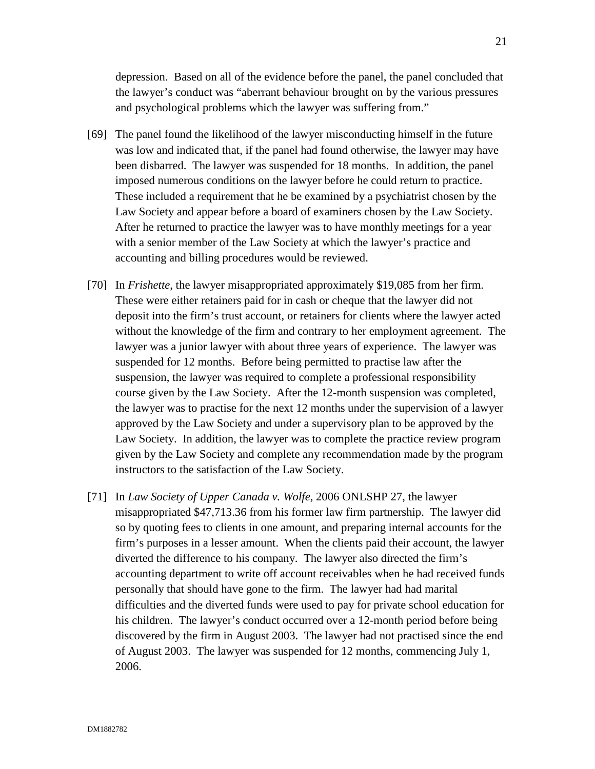depression. Based on all of the evidence before the panel, the panel concluded that the lawyer's conduct was "aberrant behaviour brought on by the various pressures and psychological problems which the lawyer was suffering from."

- [69] The panel found the likelihood of the lawyer misconducting himself in the future was low and indicated that, if the panel had found otherwise, the lawyer may have been disbarred. The lawyer was suspended for 18 months. In addition, the panel imposed numerous conditions on the lawyer before he could return to practice. These included a requirement that he be examined by a psychiatrist chosen by the Law Society and appear before a board of examiners chosen by the Law Society. After he returned to practice the lawyer was to have monthly meetings for a year with a senior member of the Law Society at which the lawyer's practice and accounting and billing procedures would be reviewed.
- [70] In *Frishette*, the lawyer misappropriated approximately \$19,085 from her firm. These were either retainers paid for in cash or cheque that the lawyer did not deposit into the firm's trust account, or retainers for clients where the lawyer acted without the knowledge of the firm and contrary to her employment agreement. The lawyer was a junior lawyer with about three years of experience. The lawyer was suspended for 12 months. Before being permitted to practise law after the suspension, the lawyer was required to complete a professional responsibility course given by the Law Society. After the 12-month suspension was completed, the lawyer was to practise for the next 12 months under the supervision of a lawyer approved by the Law Society and under a supervisory plan to be approved by the Law Society. In addition, the lawyer was to complete the practice review program given by the Law Society and complete any recommendation made by the program instructors to the satisfaction of the Law Society.
- [71] In *Law Society of Upper Canada v. Wolfe,* 2006 ONLSHP 27, the lawyer misappropriated \$47,713.36 from his former law firm partnership. The lawyer did so by quoting fees to clients in one amount, and preparing internal accounts for the firm's purposes in a lesser amount. When the clients paid their account, the lawyer diverted the difference to his company. The lawyer also directed the firm's accounting department to write off account receivables when he had received funds personally that should have gone to the firm. The lawyer had had marital difficulties and the diverted funds were used to pay for private school education for his children. The lawyer's conduct occurred over a 12-month period before being discovered by the firm in August 2003. The lawyer had not practised since the end of August 2003. The lawyer was suspended for 12 months, commencing July 1, 2006.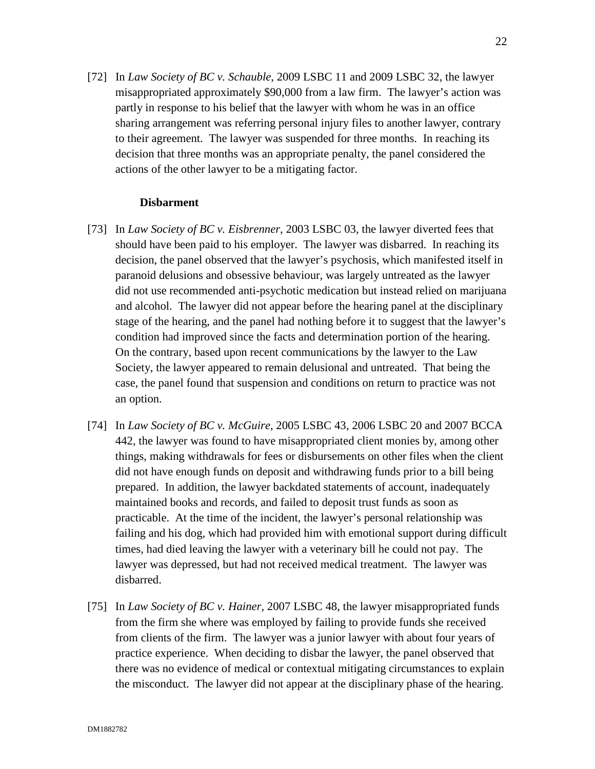[72] In *Law Society of BC v. Schauble*, 2009 LSBC 11 and 2009 LSBC 32, the lawyer misappropriated approximately \$90,000 from a law firm. The lawyer's action was partly in response to his belief that the lawyer with whom he was in an office sharing arrangement was referring personal injury files to another lawyer, contrary to their agreement. The lawyer was suspended for three months. In reaching its decision that three months was an appropriate penalty, the panel considered the actions of the other lawyer to be a mitigating factor.

#### **Disbarment**

- [73] In *Law Society of BC v. Eisbrenner*, 2003 LSBC 03, the lawyer diverted fees that should have been paid to his employer. The lawyer was disbarred. In reaching its decision, the panel observed that the lawyer's psychosis, which manifested itself in paranoid delusions and obsessive behaviour, was largely untreated as the lawyer did not use recommended anti-psychotic medication but instead relied on marijuana and alcohol. The lawyer did not appear before the hearing panel at the disciplinary stage of the hearing, and the panel had nothing before it to suggest that the lawyer's condition had improved since the facts and determination portion of the hearing. On the contrary, based upon recent communications by the lawyer to the Law Society, the lawyer appeared to remain delusional and untreated. That being the case, the panel found that suspension and conditions on return to practice was not an option.
- [74] In *Law Society of BC v. McGuire*, 2005 LSBC 43, 2006 LSBC 20 and 2007 BCCA 442, the lawyer was found to have misappropriated client monies by, among other things, making withdrawals for fees or disbursements on other files when the client did not have enough funds on deposit and withdrawing funds prior to a bill being prepared. In addition, the lawyer backdated statements of account, inadequately maintained books and records, and failed to deposit trust funds as soon as practicable. At the time of the incident, the lawyer's personal relationship was failing and his dog, which had provided him with emotional support during difficult times, had died leaving the lawyer with a veterinary bill he could not pay. The lawyer was depressed, but had not received medical treatment. The lawyer was disbarred.
- [75] In *Law Society of BC v. Hainer,* 2007 LSBC 48, the lawyer misappropriated funds from the firm she where was employed by failing to provide funds she received from clients of the firm. The lawyer was a junior lawyer with about four years of practice experience. When deciding to disbar the lawyer, the panel observed that there was no evidence of medical or contextual mitigating circumstances to explain the misconduct. The lawyer did not appear at the disciplinary phase of the hearing.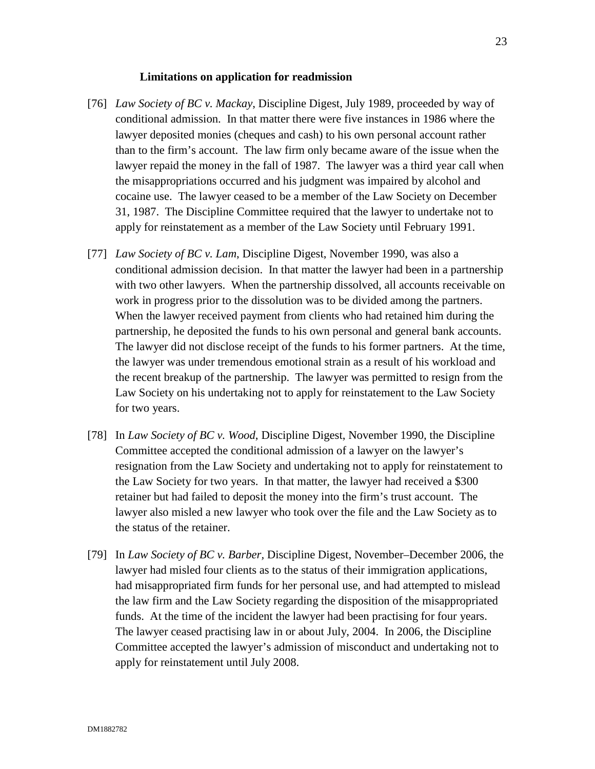#### **Limitations on application for readmission**

- [76] *Law Society of BC v. Mackay*, Discipline Digest, July 1989, proceeded by way of conditional admission. In that matter there were five instances in 1986 where the lawyer deposited monies (cheques and cash) to his own personal account rather than to the firm's account. The law firm only became aware of the issue when the lawyer repaid the money in the fall of 1987. The lawyer was a third year call when the misappropriations occurred and his judgment was impaired by alcohol and cocaine use. The lawyer ceased to be a member of the Law Society on December 31, 1987. The Discipline Committee required that the lawyer to undertake not to apply for reinstatement as a member of the Law Society until February 1991.
- [77] *Law Society of BC v. Lam*, Discipline Digest, November 1990, was also a conditional admission decision. In that matter the lawyer had been in a partnership with two other lawyers. When the partnership dissolved, all accounts receivable on work in progress prior to the dissolution was to be divided among the partners. When the lawyer received payment from clients who had retained him during the partnership, he deposited the funds to his own personal and general bank accounts. The lawyer did not disclose receipt of the funds to his former partners. At the time, the lawyer was under tremendous emotional strain as a result of his workload and the recent breakup of the partnership. The lawyer was permitted to resign from the Law Society on his undertaking not to apply for reinstatement to the Law Society for two years.
- [78] In *Law Society of BC v. Wood*, Discipline Digest, November 1990, the Discipline Committee accepted the conditional admission of a lawyer on the lawyer's resignation from the Law Society and undertaking not to apply for reinstatement to the Law Society for two years. In that matter, the lawyer had received a \$300 retainer but had failed to deposit the money into the firm's trust account. The lawyer also misled a new lawyer who took over the file and the Law Society as to the status of the retainer.
- [79] In *Law Society of BC v. Barber,* Discipline Digest, November–December 2006, the lawyer had misled four clients as to the status of their immigration applications, had misappropriated firm funds for her personal use, and had attempted to mislead the law firm and the Law Society regarding the disposition of the misappropriated funds. At the time of the incident the lawyer had been practising for four years. The lawyer ceased practising law in or about July, 2004. In 2006, the Discipline Committee accepted the lawyer's admission of misconduct and undertaking not to apply for reinstatement until July 2008.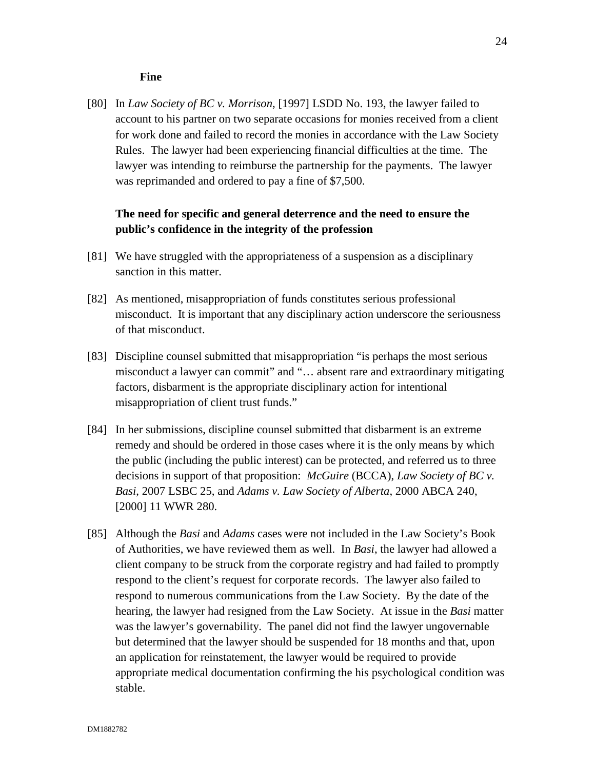### **Fine**

[80] In *Law Society of BC v. Morrison*, [1997] LSDD No. 193, the lawyer failed to account to his partner on two separate occasions for monies received from a client for work done and failed to record the monies in accordance with the Law Society Rules. The lawyer had been experiencing financial difficulties at the time. The lawyer was intending to reimburse the partnership for the payments. The lawyer was reprimanded and ordered to pay a fine of \$7,500.

# **The need for specific and general deterrence and the need to ensure the public's confidence in the integrity of the profession**

- [81] We have struggled with the appropriateness of a suspension as a disciplinary sanction in this matter.
- [82] As mentioned, misappropriation of funds constitutes serious professional misconduct. It is important that any disciplinary action underscore the seriousness of that misconduct.
- [83] Discipline counsel submitted that misappropriation "is perhaps the most serious misconduct a lawyer can commit" and "… absent rare and extraordinary mitigating factors, disbarment is the appropriate disciplinary action for intentional misappropriation of client trust funds."
- [84] In her submissions, discipline counsel submitted that disbarment is an extreme remedy and should be ordered in those cases where it is the only means by which the public (including the public interest) can be protected, and referred us to three decisions in support of that proposition: *McGuire* (BCCA), *Law Society of BC v. Basi*, 2007 LSBC 25, and *Adams v. Law Society of Alberta*, 2000 ABCA 240, [2000] 11 WWR 280.
- [85] Although the *Basi* and *Adams* cases were not included in the Law Society's Book of Authorities, we have reviewed them as well. In *Basi*, the lawyer had allowed a client company to be struck from the corporate registry and had failed to promptly respond to the client's request for corporate records. The lawyer also failed to respond to numerous communications from the Law Society. By the date of the hearing, the lawyer had resigned from the Law Society. At issue in the *Basi* matter was the lawyer's governability. The panel did not find the lawyer ungovernable but determined that the lawyer should be suspended for 18 months and that, upon an application for reinstatement, the lawyer would be required to provide appropriate medical documentation confirming the his psychological condition was stable.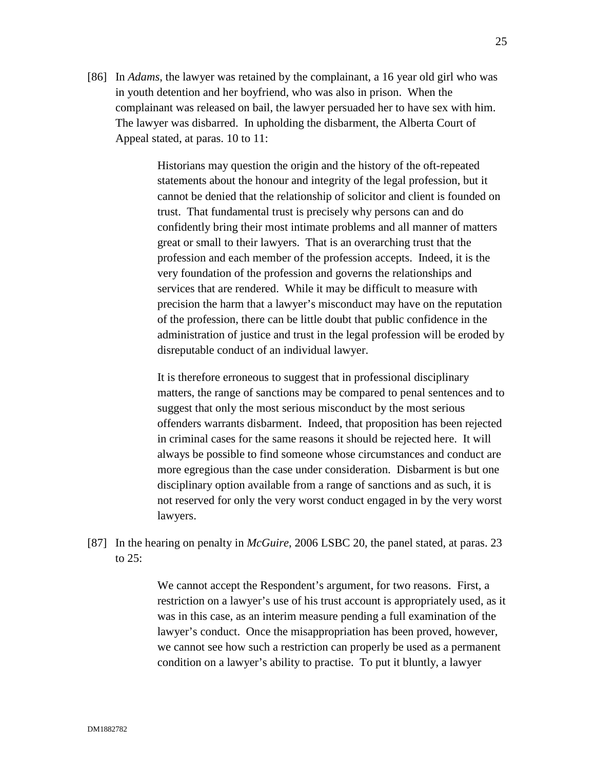[86] In *Adams*, the lawyer was retained by the complainant, a 16 year old girl who was in youth detention and her boyfriend, who was also in prison. When the complainant was released on bail, the lawyer persuaded her to have sex with him. The lawyer was disbarred. In upholding the disbarment, the Alberta Court of Appeal stated, at paras. 10 to 11:

> Historians may question the origin and the history of the oft-repeated statements about the honour and integrity of the legal profession, but it cannot be denied that the relationship of solicitor and client is founded on trust. That fundamental trust is precisely why persons can and do confidently bring their most intimate problems and all manner of matters great or small to their lawyers. That is an overarching trust that the profession and each member of the profession accepts. Indeed, it is the very foundation of the profession and governs the relationships and services that are rendered. While it may be difficult to measure with precision the harm that a lawyer's misconduct may have on the reputation of the profession, there can be little doubt that public confidence in the administration of justice and trust in the legal profession will be eroded by disreputable conduct of an individual lawyer.

> It is therefore erroneous to suggest that in professional disciplinary matters, the range of sanctions may be compared to penal sentences and to suggest that only the most serious misconduct by the most serious offenders warrants disbarment. Indeed, that proposition has been rejected in criminal cases for the same reasons it should be rejected here. It will always be possible to find someone whose circumstances and conduct are more egregious than the case under consideration. Disbarment is but one disciplinary option available from a range of sanctions and as such, it is not reserved for only the very worst conduct engaged in by the very worst lawyers.

[87] In the hearing on penalty in *McGuire*, 2006 LSBC 20, the panel stated, at paras. 23 to 25:

> We cannot accept the Respondent's argument, for two reasons. First, a restriction on a lawyer's use of his trust account is appropriately used, as it was in this case, as an interim measure pending a full examination of the lawyer's conduct. Once the misappropriation has been proved, however, we cannot see how such a restriction can properly be used as a permanent condition on a lawyer's ability to practise. To put it bluntly, a lawyer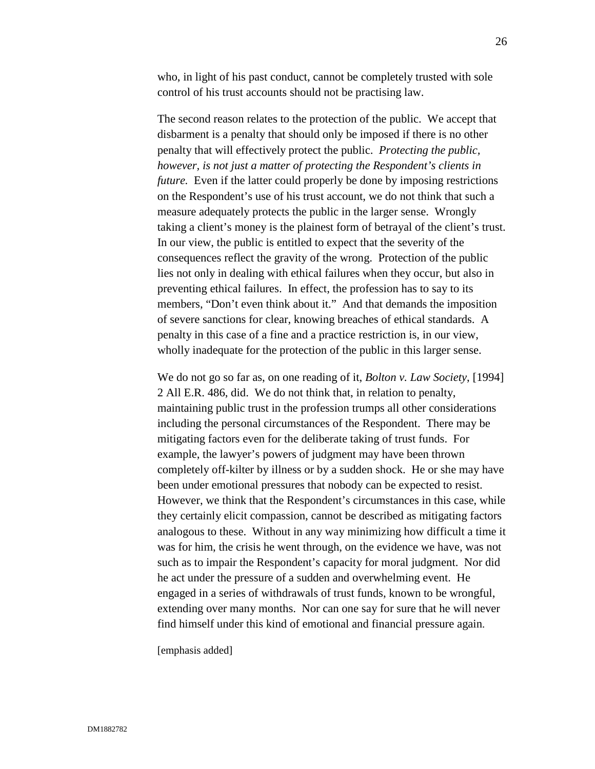who, in light of his past conduct, cannot be completely trusted with sole control of his trust accounts should not be practising law.

The second reason relates to the protection of the public. We accept that disbarment is a penalty that should only be imposed if there is no other penalty that will effectively protect the public. *Protecting the public, however, is not just a matter of protecting the Respondent's clients in future.* Even if the latter could properly be done by imposing restrictions on the Respondent's use of his trust account, we do not think that such a measure adequately protects the public in the larger sense. Wrongly taking a client's money is the plainest form of betrayal of the client's trust. In our view, the public is entitled to expect that the severity of the consequences reflect the gravity of the wrong. Protection of the public lies not only in dealing with ethical failures when they occur, but also in preventing ethical failures. In effect, the profession has to say to its members, "Don't even think about it." And that demands the imposition of severe sanctions for clear, knowing breaches of ethical standards. A penalty in this case of a fine and a practice restriction is, in our view, wholly inadequate for the protection of the public in this larger sense.

We do not go so far as, on one reading of it, *Bolton v. Law Society*, [1994] 2 All E.R. 486, did. We do not think that, in relation to penalty, maintaining public trust in the profession trumps all other considerations including the personal circumstances of the Respondent. There may be mitigating factors even for the deliberate taking of trust funds. For example, the lawyer's powers of judgment may have been thrown completely off-kilter by illness or by a sudden shock. He or she may have been under emotional pressures that nobody can be expected to resist. However, we think that the Respondent's circumstances in this case, while they certainly elicit compassion, cannot be described as mitigating factors analogous to these. Without in any way minimizing how difficult a time it was for him, the crisis he went through, on the evidence we have, was not such as to impair the Respondent's capacity for moral judgment. Nor did he act under the pressure of a sudden and overwhelming event. He engaged in a series of withdrawals of trust funds, known to be wrongful, extending over many months. Nor can one say for sure that he will never find himself under this kind of emotional and financial pressure again.

[emphasis added]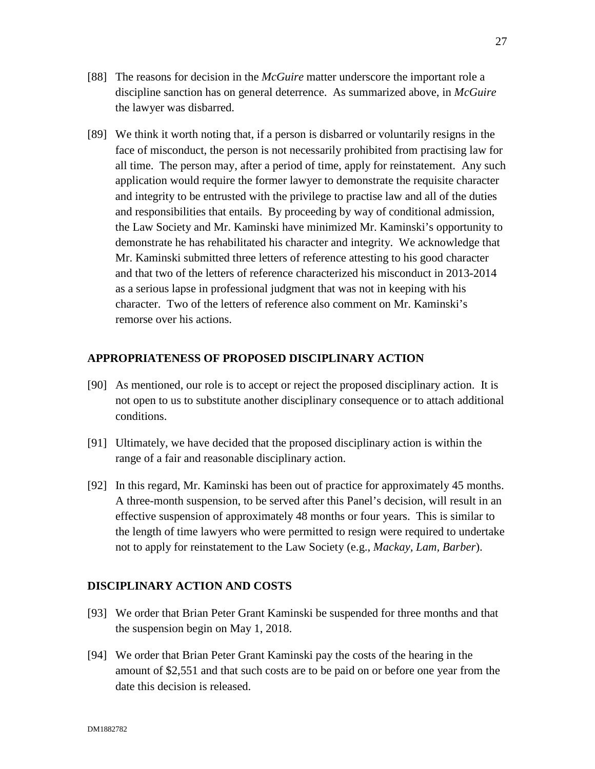- [88] The reasons for decision in the *McGuire* matter underscore the important role a discipline sanction has on general deterrence. As summarized above, in *McGuire*  the lawyer was disbarred.
- [89] We think it worth noting that, if a person is disbarred or voluntarily resigns in the face of misconduct, the person is not necessarily prohibited from practising law for all time. The person may, after a period of time, apply for reinstatement. Any such application would require the former lawyer to demonstrate the requisite character and integrity to be entrusted with the privilege to practise law and all of the duties and responsibilities that entails. By proceeding by way of conditional admission, the Law Society and Mr. Kaminski have minimized Mr. Kaminski's opportunity to demonstrate he has rehabilitated his character and integrity. We acknowledge that Mr. Kaminski submitted three letters of reference attesting to his good character and that two of the letters of reference characterized his misconduct in 2013-2014 as a serious lapse in professional judgment that was not in keeping with his character. Two of the letters of reference also comment on Mr. Kaminski's remorse over his actions.

## **APPROPRIATENESS OF PROPOSED DISCIPLINARY ACTION**

- [90] As mentioned, our role is to accept or reject the proposed disciplinary action. It is not open to us to substitute another disciplinary consequence or to attach additional conditions.
- [91] Ultimately, we have decided that the proposed disciplinary action is within the range of a fair and reasonable disciplinary action.
- [92] In this regard, Mr. Kaminski has been out of practice for approximately 45 months. A three-month suspension, to be served after this Panel's decision, will result in an effective suspension of approximately 48 months or four years. This is similar to the length of time lawyers who were permitted to resign were required to undertake not to apply for reinstatement to the Law Society (e.g., *Mackay, Lam, Barber*).

#### **DISCIPLINARY ACTION AND COSTS**

- [93] We order that Brian Peter Grant Kaminski be suspended for three months and that the suspension begin on May 1, 2018.
- [94] We order that Brian Peter Grant Kaminski pay the costs of the hearing in the amount of \$2,551 and that such costs are to be paid on or before one year from the date this decision is released.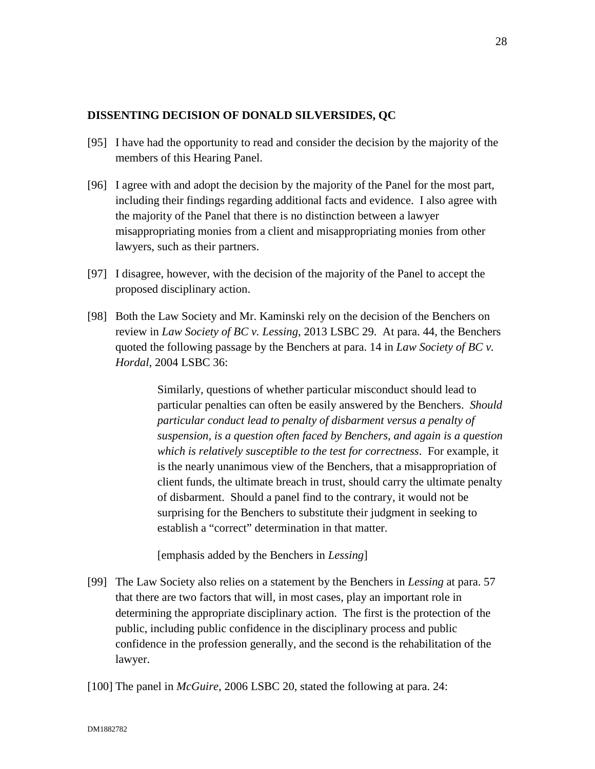## **DISSENTING DECISION OF DONALD SILVERSIDES, QC**

- [95] I have had the opportunity to read and consider the decision by the majority of the members of this Hearing Panel.
- [96] I agree with and adopt the decision by the majority of the Panel for the most part, including their findings regarding additional facts and evidence. I also agree with the majority of the Panel that there is no distinction between a lawyer misappropriating monies from a client and misappropriating monies from other lawyers, such as their partners.
- [97] I disagree, however, with the decision of the majority of the Panel to accept the proposed disciplinary action.
- [98] Both the Law Society and Mr. Kaminski rely on the decision of the Benchers on review in *Law Society of BC v. Lessing*, 2013 LSBC 29. At para. 44, the Benchers quoted the following passage by the Benchers at para. 14 in *Law Society of BC v. Hordal*, 2004 LSBC 36:

Similarly, questions of whether particular misconduct should lead to particular penalties can often be easily answered by the Benchers. *Should particular conduct lead to penalty of disbarment versus a penalty of suspension, is a question often faced by Benchers, and again is a question which is relatively susceptible to the test for correctness*. For example, it is the nearly unanimous view of the Benchers, that a misappropriation of client funds, the ultimate breach in trust, should carry the ultimate penalty of disbarment. Should a panel find to the contrary, it would not be surprising for the Benchers to substitute their judgment in seeking to establish a "correct" determination in that matter.

[emphasis added by the Benchers in *Lessing*]

- [99] The Law Society also relies on a statement by the Benchers in *Lessing* at para. 57 that there are two factors that will, in most cases, play an important role in determining the appropriate disciplinary action. The first is the protection of the public, including public confidence in the disciplinary process and public confidence in the profession generally, and the second is the rehabilitation of the lawyer.
- [100] The panel in *McGuire*, 2006 LSBC 20, stated the following at para. 24: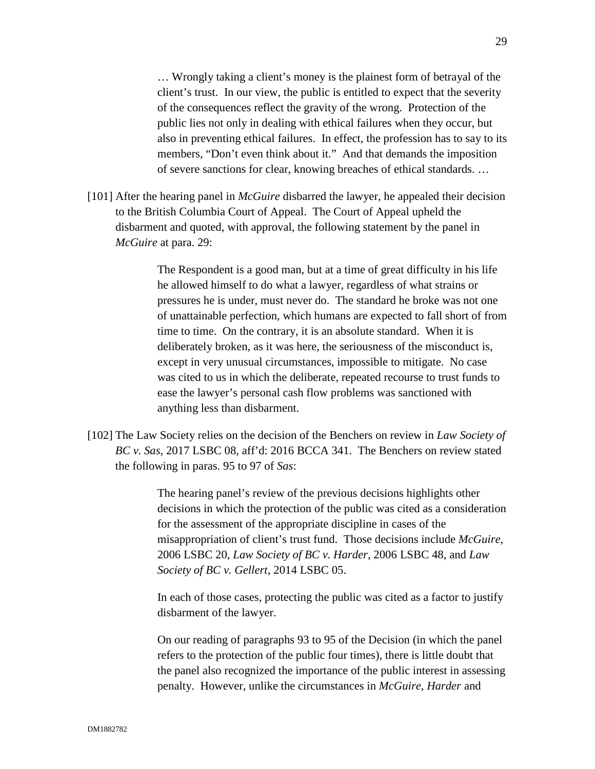… Wrongly taking a client's money is the plainest form of betrayal of the client's trust. In our view, the public is entitled to expect that the severity of the consequences reflect the gravity of the wrong. Protection of the public lies not only in dealing with ethical failures when they occur, but also in preventing ethical failures. In effect, the profession has to say to its members, "Don't even think about it." And that demands the imposition of severe sanctions for clear, knowing breaches of ethical standards. …

[101] After the hearing panel in *McGuire* disbarred the lawyer, he appealed their decision to the British Columbia Court of Appeal. The Court of Appeal upheld the disbarment and quoted, with approval, the following statement by the panel in *McGuire* at para. 29:

> The Respondent is a good man, but at a time of great difficulty in his life he allowed himself to do what a lawyer, regardless of what strains or pressures he is under, must never do. The standard he broke was not one of unattainable perfection, which humans are expected to fall short of from time to time. On the contrary, it is an absolute standard. When it is deliberately broken, as it was here, the seriousness of the misconduct is, except in very unusual circumstances, impossible to mitigate. No case was cited to us in which the deliberate, repeated recourse to trust funds to ease the lawyer's personal cash flow problems was sanctioned with anything less than disbarment.

[102] The Law Society relies on the decision of the Benchers on review in *Law Society of BC v. Sas*, 2017 LSBC 08, aff'd: 2016 BCCA 341. The Benchers on review stated the following in paras. 95 to 97 of *Sas*:

> The hearing panel's review of the previous decisions highlights other decisions in which the protection of the public was cited as a consideration for the assessment of the appropriate discipline in cases of the misappropriation of client's trust fund. Those decisions include *McGuire*, 2006 LSBC 20, *Law Society of BC v. Harder*, 2006 LSBC 48, and *Law Society of BC v. Gellert*, 2014 LSBC 05.

In each of those cases, protecting the public was cited as a factor to justify disbarment of the lawyer.

On our reading of paragraphs 93 to 95 of the Decision (in which the panel refers to the protection of the public four times), there is little doubt that the panel also recognized the importance of the public interest in assessing penalty. However, unlike the circumstances in *McGuire*, *Harder* and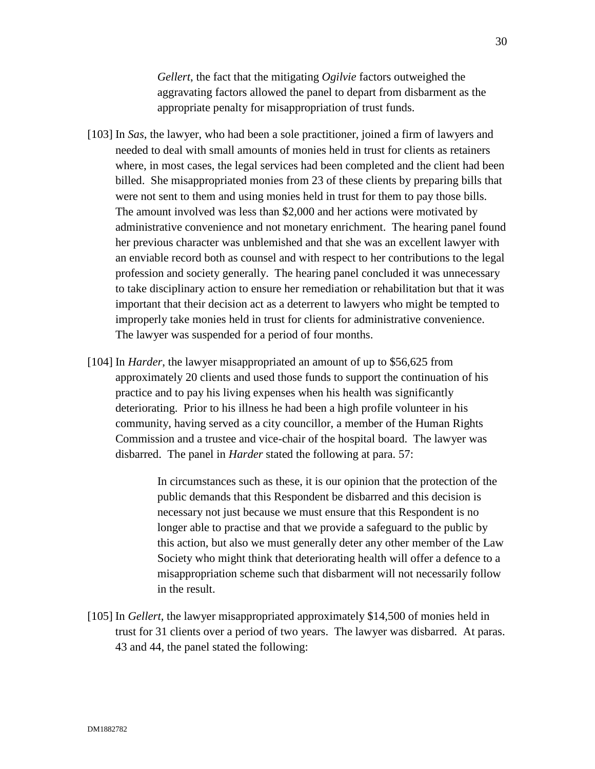*Gellert*, the fact that the mitigating *Ogilvie* factors outweighed the aggravating factors allowed the panel to depart from disbarment as the appropriate penalty for misappropriation of trust funds.

- [103] In *Sas*, the lawyer, who had been a sole practitioner, joined a firm of lawyers and needed to deal with small amounts of monies held in trust for clients as retainers where, in most cases, the legal services had been completed and the client had been billed. She misappropriated monies from 23 of these clients by preparing bills that were not sent to them and using monies held in trust for them to pay those bills. The amount involved was less than \$2,000 and her actions were motivated by administrative convenience and not monetary enrichment. The hearing panel found her previous character was unblemished and that she was an excellent lawyer with an enviable record both as counsel and with respect to her contributions to the legal profession and society generally. The hearing panel concluded it was unnecessary to take disciplinary action to ensure her remediation or rehabilitation but that it was important that their decision act as a deterrent to lawyers who might be tempted to improperly take monies held in trust for clients for administrative convenience. The lawyer was suspended for a period of four months.
- [104] In *Harder*, the lawyer misappropriated an amount of up to \$56,625 from approximately 20 clients and used those funds to support the continuation of his practice and to pay his living expenses when his health was significantly deteriorating. Prior to his illness he had been a high profile volunteer in his community, having served as a city councillor, a member of the Human Rights Commission and a trustee and vice-chair of the hospital board. The lawyer was disbarred. The panel in *Harder* stated the following at para. 57:

In circumstances such as these, it is our opinion that the protection of the public demands that this Respondent be disbarred and this decision is necessary not just because we must ensure that this Respondent is no longer able to practise and that we provide a safeguard to the public by this action, but also we must generally deter any other member of the Law Society who might think that deteriorating health will offer a defence to a misappropriation scheme such that disbarment will not necessarily follow in the result.

[105] In *Gellert*, the lawyer misappropriated approximately \$14,500 of monies held in trust for 31 clients over a period of two years. The lawyer was disbarred. At paras. 43 and 44, the panel stated the following: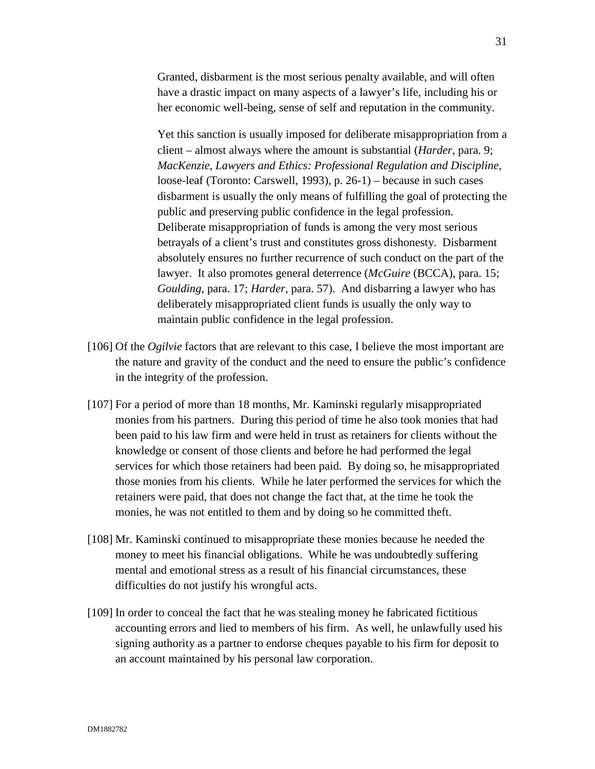Granted, disbarment is the most serious penalty available, and will often have a drastic impact on many aspects of a lawyer's life, including his or her economic well-being, sense of self and reputation in the community.

Yet this sanction is usually imposed for deliberate misappropriation from a client – almost always where the amount is substantial (*Harder*, para. 9; *MacKenzie*, *Lawyers and Ethics: Professional Regulation and Discipline*, loose-leaf (Toronto: Carswell, 1993), p. 26-1) – because in such cases disbarment is usually the only means of fulfilling the goal of protecting the public and preserving public confidence in the legal profession. Deliberate misappropriation of funds is among the very most serious betrayals of a client's trust and constitutes gross dishonesty. Disbarment absolutely ensures no further recurrence of such conduct on the part of the lawyer. It also promotes general deterrence (*McGuire* (BCCA), para. 15; *Goulding*, para. 17; *Harder*, para. 57). And disbarring a lawyer who has deliberately misappropriated client funds is usually the only way to maintain public confidence in the legal profession.

- [106] Of the *Ogilvie* factors that are relevant to this case, I believe the most important are the nature and gravity of the conduct and the need to ensure the public's confidence in the integrity of the profession.
- [107] For a period of more than 18 months, Mr. Kaminski regularly misappropriated monies from his partners. During this period of time he also took monies that had been paid to his law firm and were held in trust as retainers for clients without the knowledge or consent of those clients and before he had performed the legal services for which those retainers had been paid. By doing so, he misappropriated those monies from his clients. While he later performed the services for which the retainers were paid, that does not change the fact that, at the time he took the monies, he was not entitled to them and by doing so he committed theft.
- [108] Mr. Kaminski continued to misappropriate these monies because he needed the money to meet his financial obligations. While he was undoubtedly suffering mental and emotional stress as a result of his financial circumstances, these difficulties do not justify his wrongful acts.
- [109] In order to conceal the fact that he was stealing money he fabricated fictitious accounting errors and lied to members of his firm. As well, he unlawfully used his signing authority as a partner to endorse cheques payable to his firm for deposit to an account maintained by his personal law corporation.